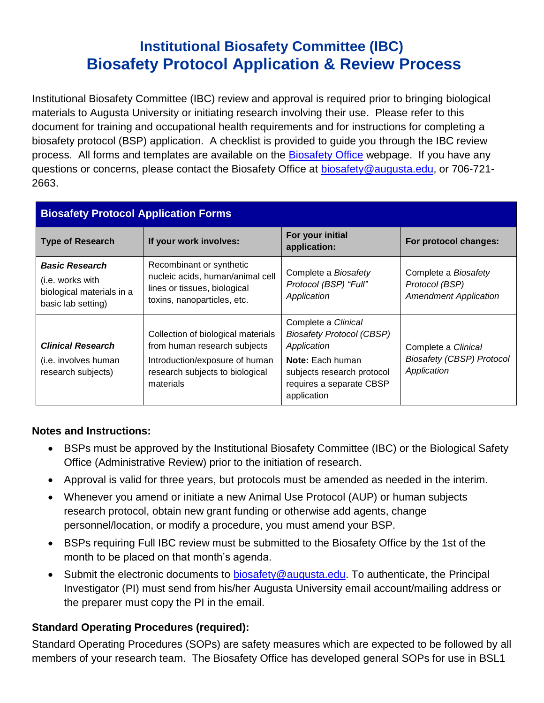# **Institutional Biosafety Committee (IBC) Biosafety Protocol Application & Review Process**

Institutional Biosafety Committee (IBC) review and approval is required prior to bringing biological materials to Augusta University or initiating research involving their use. Please refer to this document for training and occupational health requirements and for instructions for completing a biosafety protocol (BSP) application. A checklist is provided to guide you through the IBC review process. All forms and templates are available on the [Biosafety Office](http://www.augusta.edu/services/ehs/biosafe/) webpage. If you have any questions or concerns, please contact the Biosafety Office at **biosafety@augusta.edu**, or 706-721-2663.

| <b>Biosafety Protocol Application Forms</b>                                                  |                                                                                                                                                      |                                                                                                                                                                            |                                                                        |  |  |
|----------------------------------------------------------------------------------------------|------------------------------------------------------------------------------------------------------------------------------------------------------|----------------------------------------------------------------------------------------------------------------------------------------------------------------------------|------------------------------------------------------------------------|--|--|
| <b>Type of Research</b>                                                                      | If your work involves:                                                                                                                               | For your initial<br>application:                                                                                                                                           | For protocol changes:                                                  |  |  |
| <b>Basic Research</b><br>(i.e. works with<br>biological materials in a<br>basic lab setting) | Recombinant or synthetic<br>nucleic acids, human/animal cell<br>lines or tissues, biological<br>toxins, nanoparticles, etc.                          | Complete a Biosafety<br>Protocol (BSP) "Full"<br>Application                                                                                                               | Complete a Biosafety<br>Protocol (BSP)<br><b>Amendment Application</b> |  |  |
| <b>Clinical Research</b><br>(i.e. involves human)<br>research subjects)                      | Collection of biological materials<br>from human research subjects<br>Introduction/exposure of human<br>research subjects to biological<br>materials | Complete a Clinical<br><b>Biosafety Protocol (CBSP)</b><br>Application<br><b>Note:</b> Each human<br>subjects research protocol<br>requires a separate CBSP<br>application | Complete a Clinical<br><b>Biosafety (CBSP) Protocol</b><br>Application |  |  |

#### **Notes and Instructions:**

- BSPs must be approved by the Institutional Biosafety Committee (IBC) or the Biological Safety Office (Administrative Review) prior to the initiation of research.
- Approval is valid for three years, but protocols must be amended as needed in the interim.
- Whenever you amend or initiate a new Animal Use Protocol (AUP) or human subjects research protocol, obtain new grant funding or otherwise add agents, change personnel/location, or modify a procedure, you must amend your BSP.
- BSPs requiring Full IBC review must be submitted to the Biosafety Office by the 1st of the month to be placed on that month's agenda.
- Submit the electronic documents to [biosafety@augusta.edu.](mailto:biosafety@augusta.edu) To authenticate, the Principal Investigator (PI) must send from his/her Augusta University email account/mailing address or the preparer must copy the PI in the email.

## **Standard Operating Procedures (required):**

Standard Operating Procedures (SOPs) are safety measures which are expected to be followed by all members of your research team. The Biosafety Office has developed general SOPs for use in BSL1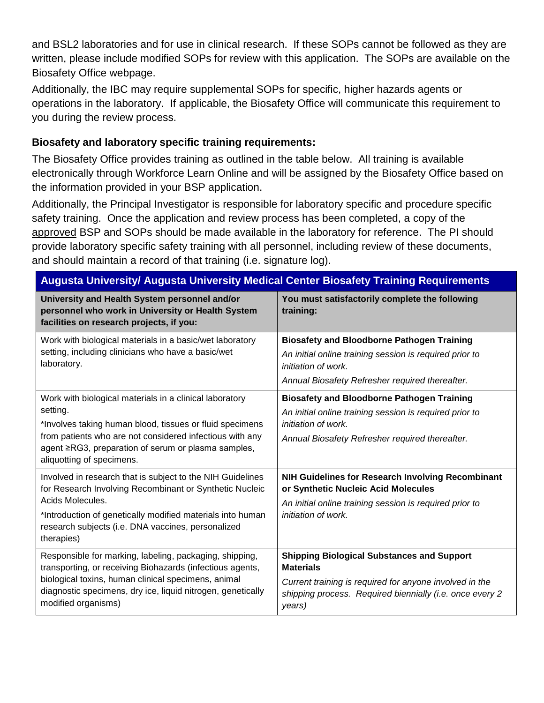and BSL2 laboratories and for use in clinical research. If these SOPs cannot be followed as they are written, please include modified SOPs for review with this application. The SOPs are available on the Biosafety Office webpage.

Additionally, the IBC may require supplemental SOPs for specific, higher hazards agents or operations in the laboratory. If applicable, the Biosafety Office will communicate this requirement to you during the review process.

### **Biosafety and laboratory specific training requirements:**

The Biosafety Office provides training as outlined in the table below. All training is available electronically through Workforce Learn Online and will be assigned by the Biosafety Office based on the information provided in your BSP application.

Additionally, the Principal Investigator is responsible for laboratory specific and procedure specific safety training. Once the application and review process has been completed, a copy of the approved BSP and SOPs should be made available in the laboratory for reference. The PI should provide laboratory specific safety training with all personnel, including review of these documents, and should maintain a record of that training (i.e. signature log).

| <b>Augusta University/ Augusta University Medical Center Biosafety Training Requirements</b>                                                                                                                                                                                    |                                                                                                                                                                                                        |  |  |  |
|---------------------------------------------------------------------------------------------------------------------------------------------------------------------------------------------------------------------------------------------------------------------------------|--------------------------------------------------------------------------------------------------------------------------------------------------------------------------------------------------------|--|--|--|
| University and Health System personnel and/or<br>personnel who work in University or Health System<br>facilities on research projects, if you:                                                                                                                                  | You must satisfactorily complete the following<br>training:                                                                                                                                            |  |  |  |
| Work with biological materials in a basic/wet laboratory<br>setting, including clinicians who have a basic/wet<br>laboratory.                                                                                                                                                   | <b>Biosafety and Bloodborne Pathogen Training</b><br>An initial online training session is required prior to<br>initiation of work.<br>Annual Biosafety Refresher required thereafter.                 |  |  |  |
| Work with biological materials in a clinical laboratory<br>setting.<br>*Involves taking human blood, tissues or fluid specimens<br>from patients who are not considered infectious with any<br>agent ≥RG3, preparation of serum or plasma samples,<br>aliquotting of specimens. | <b>Biosafety and Bloodborne Pathogen Training</b><br>An initial online training session is required prior to<br>initiation of work.<br>Annual Biosafety Refresher required thereafter.                 |  |  |  |
| Involved in research that is subject to the NIH Guidelines<br>for Research Involving Recombinant or Synthetic Nucleic<br>Acids Molecules.<br>*Introduction of genetically modified materials into human<br>research subjects (i.e. DNA vaccines, personalized<br>therapies)     | NIH Guidelines for Research Involving Recombinant<br>or Synthetic Nucleic Acid Molecules<br>An initial online training session is required prior to<br>initiation of work.                             |  |  |  |
| Responsible for marking, labeling, packaging, shipping,<br>transporting, or receiving Biohazards (infectious agents,<br>biological toxins, human clinical specimens, animal<br>diagnostic specimens, dry ice, liquid nitrogen, genetically<br>modified organisms)               | <b>Shipping Biological Substances and Support</b><br><b>Materials</b><br>Current training is required for anyone involved in the<br>shipping process. Required biennially (i.e. once every 2<br>years) |  |  |  |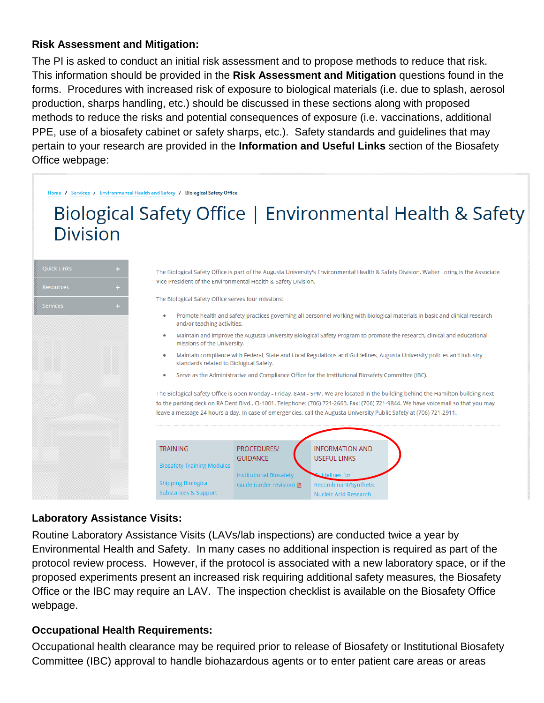#### **Risk Assessment and Mitigation:**

The PI is asked to conduct an initial risk assessment and to propose methods to reduce that risk. This information should be provided in the **Risk Assessment and Mitigation** questions found in the forms. Procedures with increased risk of exposure to biological materials (i.e. due to splash, aerosol production, sharps handling, etc.) should be discussed in these sections along with proposed methods to reduce the risks and potential consequences of exposure (i.e. vaccinations, additional PPE, use of a biosafety cabinet or safety sharps, etc.). Safety standards and guidelines that may pertain to your research are provided in the **Information and Useful Links** section of the Biosafety Office webpage:

Home / Services / Environmental Health and Safety / Biological Safety Office

# Biological Safety Office | Environmental Health & Safety **Division**

| Quick Links | u |
|-------------|---|
| Resources   | ÷ |
| Services    | ÷ |
|             |   |
|             |   |
|             |   |
|             |   |
|             |   |
|             |   |
|             |   |
|             |   |
|             |   |
|             |   |
|             |   |
|             |   |

The Biological Safety Office is part of the Augusta University's Environmental Health & Safety Division. Walter Loring is the Associate Vice President of the Environmental Health & Safety Division.

The Biological Safety Office serves four missions:

- Promote health and safety practices governing all personnel working with biological materials in basic and clinical research  $\bullet$ and/or teaching activities.
- · Maintain and improve the Augusta University Biological Safety Program to promote the research, clinical and educational missions of the University.
- · Maintain compliance with Federal, State and Local Regulations and Guidelines, Augusta University policies and industry standards related to Biological Safety.
- $\bullet$ Serve as the Administrative and Compliance Office for the Institutional Biosafety Committee (IBC).

The Biological Safety Office is open Monday - Friday, 8AM - 5PM. We are located in the building behind the Hamilton building next to the parking deck on RA Dent Blvd., CI-1001. Telephone: (706) 721-2663, Fax: (706) 721-9844. We have voicemail so that you may leave a message 24 hours a day. In case of emergencies, call the Augusta University Public Safety at (706) 721-2911.



#### **Laboratory Assistance Visits:**

Routine Laboratory Assistance Visits (LAVs/lab inspections) are conducted twice a year by Environmental Health and Safety. In many cases no additional inspection is required as part of the protocol review process. However, if the protocol is associated with a new laboratory space, or if the proposed experiments present an increased risk requiring additional safety measures, the Biosafety Office or the IBC may require an LAV. The inspection checklist is available on the Biosafety Office webpage.

#### **Occupational Health Requirements:**

Occupational health clearance may be required prior to release of Biosafety or Institutional Biosafety Committee (IBC) approval to handle biohazardous agents or to enter patient care areas or areas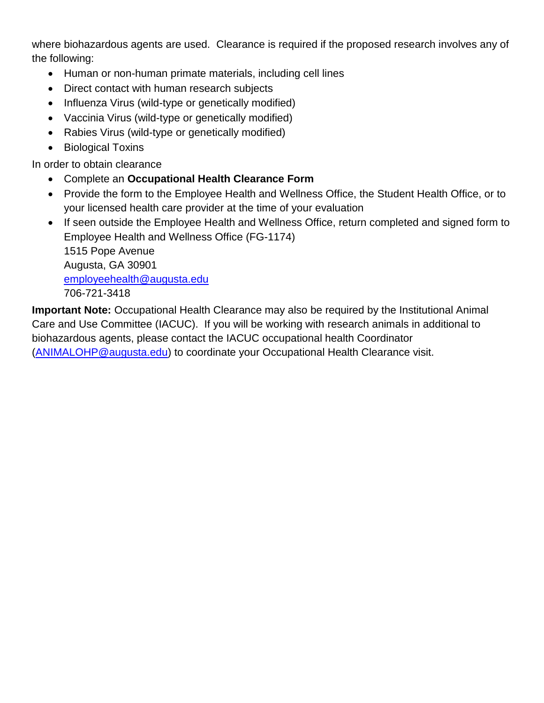where biohazardous agents are used. Clearance is required if the proposed research involves any of the following:

- Human or non-human primate materials, including cell lines
- Direct contact with human research subjects
- Influenza Virus (wild-type or genetically modified)
- Vaccinia Virus (wild-type or genetically modified)
- Rabies Virus (wild-type or genetically modified)
- Biological Toxins

In order to obtain clearance

- Complete an **Occupational Health Clearance Form**
- Provide the form to the Employee Health and Wellness Office, the Student Health Office, or to your licensed health care provider at the time of your evaluation
- If seen outside the Employee Health and Wellness Office, return completed and signed form to Employee Health and Wellness Office (FG-1174) 1515 Pope Avenue Augusta, GA 30901 [employeehealth@augusta.edu](mailto:employeehealth@augusta.edu) 706-721-3418

**Important Note:** Occupational Health Clearance may also be required by the Institutional Animal Care and Use Committee (IACUC). If you will be working with research animals in additional to biohazardous agents, please contact the IACUC occupational health Coordinator [\(ANIMALOHP@augusta.edu\)](mailto:ANIMALOHP@augusta.edu) to coordinate your Occupational Health Clearance visit.